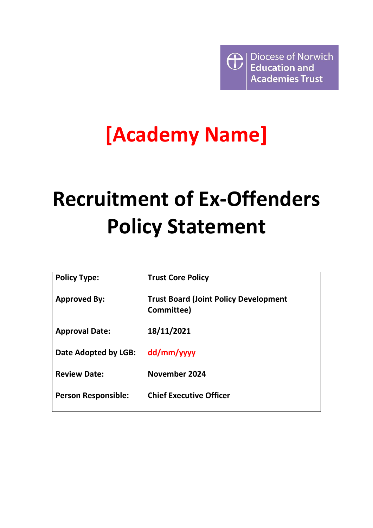Diocese of Norwich <sup>1</sup> **Education and Academies Trust** 

## **[Academy Name]**

## **Recruitment of Ex-Offenders Policy Statement**

| <b>Policy Type:</b>        | <b>Trust Core Policy</b>                                   |
|----------------------------|------------------------------------------------------------|
| <b>Approved By:</b>        | <b>Trust Board (Joint Policy Development</b><br>Committee) |
| <b>Approval Date:</b>      | 18/11/2021                                                 |
| Date Adopted by LGB:       | dd/mm/yyyy                                                 |
| <b>Review Date:</b>        | November 2024                                              |
| <b>Person Responsible:</b> | <b>Chief Executive Officer</b>                             |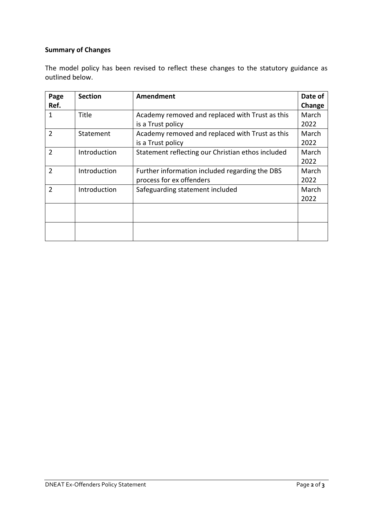## **Summary of Changes**

The model policy has been revised to reflect these changes to the statutory guidance as outlined below.

| Page           | <b>Section</b> | Amendment                                         | Date of |
|----------------|----------------|---------------------------------------------------|---------|
| Ref.           |                |                                                   | Change  |
| 1              | <b>Title</b>   | Academy removed and replaced with Trust as this   | March   |
|                |                | is a Trust policy                                 | 2022    |
| $\overline{2}$ | Statement      | Academy removed and replaced with Trust as this   | March   |
|                |                | is a Trust policy                                 | 2022    |
| $\overline{2}$ | Introduction   | Statement reflecting our Christian ethos included | March   |
|                |                |                                                   | 2022    |
| $\overline{2}$ | Introduction   | Further information included regarding the DBS    | March   |
|                |                | process for ex offenders                          | 2022    |
| $\overline{2}$ | Introduction   | Safeguarding statement included                   | March   |
|                |                |                                                   | 2022    |
|                |                |                                                   |         |
|                |                |                                                   |         |
|                |                |                                                   |         |
|                |                |                                                   |         |